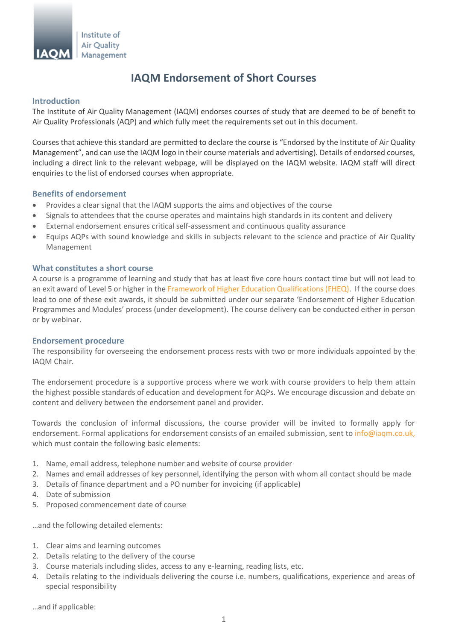

# **IAQM Endorsement of Short Courses**

### **Introduction**

The Institute of Air Quality Management (IAQM) endorses courses of study that are deemed to be of benefit to Air Quality Professionals (AQP) and which fully meet the requirements set out in this document.

Courses that achieve this standard are permitted to declare the course is "Endorsed by the Institute of Air Quality Management", and can use the IAQM logo in their course materials and advertising). Details of endorsed courses, including a direct link to the relevant webpage, will be displayed on the IAQM website. IAQM staff will direct enquiries to the list of endorsed courses when appropriate.

## **Benefits of endorsement**

- Provides a clear signal that the IAQM supports the aims and objectives of the course
- Signals to attendees that the course operates and maintains high standards in its content and delivery
- External endorsement ensures critical self-assessment and continuous quality assurance
- Equips AQPs with sound knowledge and skills in subjects relevant to the science and practice of Air Quality Management

### **What constitutes a short course**

A course is a programme of learning and study that has at least five core hours contact time but will not lead to an exit award of Level 5 or higher in th[e Framework of Higher Education Qualifications \(FHEQ\).](http://www.qaa.ac.uk/en/Publications/Documents/Framework-Higher-Education-Qualifications-08.pdf) If the course does lead to one of these exit awards, it should be submitted under our separate 'Endorsement of Higher Education Programmes and Modules' process (under development). The course delivery can be conducted either in person or by webinar.

### **Endorsement procedure**

The responsibility for overseeing the endorsement process rests with two or more individuals appointed by the IAQM Chair.

The endorsement procedure is a supportive process where we work with course providers to help them attain the highest possible standards of education and development for AQPs. We encourage discussion and debate on content and delivery between the endorsement panel and provider.

Towards the conclusion of informal discussions, the course provider will be invited to formally apply for endorsement. Formal applications for endorsement consists of an emailed submission, sent to [info@iaqm.co.uk,](mailto:info@iaqm.co.uk) which must contain the following basic elements:

- 1. Name, email address, telephone number and website of course provider
- 2. Names and email addresses of key personnel, identifying the person with whom all contact should be made
- 3. Details of finance department and a PO number for invoicing (if applicable)
- 4. Date of submission
- 5. Proposed commencement date of course

…and the following detailed elements:

- 1. Clear aims and learning outcomes
- 2. Details relating to the delivery of the course
- 3. Course materials including slides, access to any e-learning, reading lists, etc.
- 4. Details relating to the individuals delivering the course i.e. numbers, qualifications, experience and areas of special responsibility

…and if applicable: